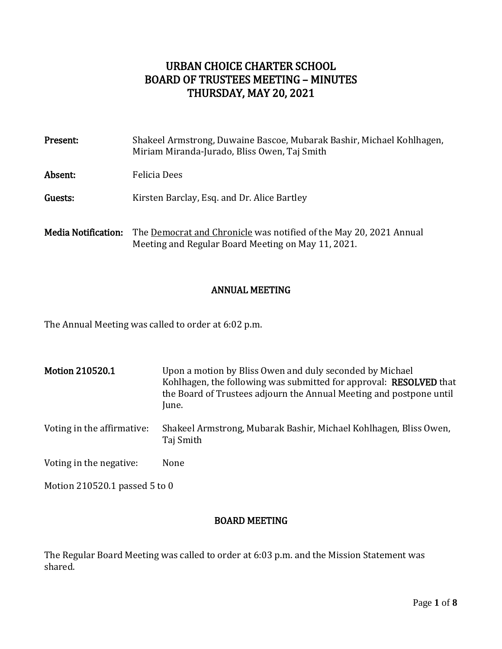# URBAN CHOICE CHARTER SCHOOL BOARD OF TRUSTEES MEETING – MINUTES THURSDAY, MAY 20, 2021

| Present:                   | Shakeel Armstrong, Duwaine Bascoe, Mubarak Bashir, Michael Kohlhagen,<br>Miriam Miranda-Jurado, Bliss Owen, Taj Smith    |
|----------------------------|--------------------------------------------------------------------------------------------------------------------------|
| Absent:                    | Felicia Dees                                                                                                             |
| Guests:                    | Kirsten Barclay, Esq. and Dr. Alice Bartley                                                                              |
| <b>Media Notification:</b> | The Democrat and Chronicle was notified of the May 20, 2021 Annual<br>Meeting and Regular Board Meeting on May 11, 2021. |

## ANNUAL MEETING

The Annual Meeting was called to order at 6:02 p.m.

| <b>Motion 210520.1</b>        | Upon a motion by Bliss Owen and duly seconded by Michael<br>Kohlhagen, the following was submitted for approval: <b>RESOLVED</b> that<br>the Board of Trustees adjourn the Annual Meeting and postpone until<br>June. |  |
|-------------------------------|-----------------------------------------------------------------------------------------------------------------------------------------------------------------------------------------------------------------------|--|
| Voting in the affirmative:    | Shakeel Armstrong, Mubarak Bashir, Michael Kohlhagen, Bliss Owen,<br>Taj Smith                                                                                                                                        |  |
| Voting in the negative:       | None                                                                                                                                                                                                                  |  |
| Motion 210520.1 passed 5 to 0 |                                                                                                                                                                                                                       |  |

## BOARD MEETING

The Regular Board Meeting was called to order at 6:03 p.m. and the Mission Statement was shared.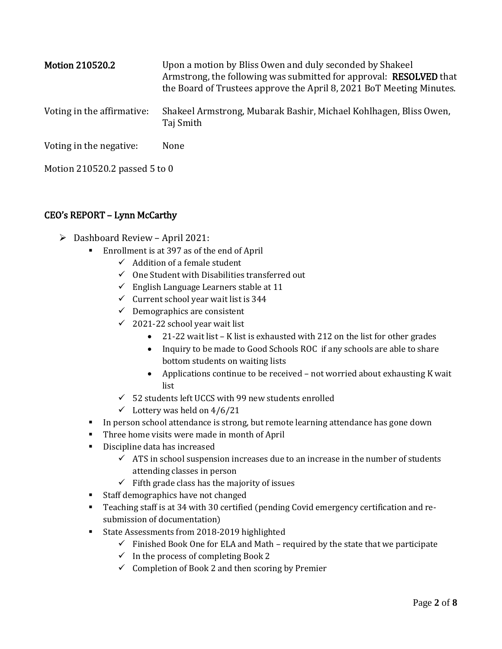| <b>Motion 210520.2</b>     | Upon a motion by Bliss Owen and duly seconded by Shakeel<br>Armstrong, the following was submitted for approval: <b>RESOLVED</b> that<br>the Board of Trustees approve the April 8, 2021 BoT Meeting Minutes. |
|----------------------------|---------------------------------------------------------------------------------------------------------------------------------------------------------------------------------------------------------------|
| Voting in the affirmative: | Shakeel Armstrong, Mubarak Bashir, Michael Kohlhagen, Bliss Owen,<br>Taj Smith                                                                                                                                |
| Voting in the negative:    | None                                                                                                                                                                                                          |

Motion 210520.2 passed 5 to 0

## CEO's REPORT – Lynn McCarthy

- $\triangleright$  Dashboard Review April 2021:
	- Enrollment is at 397 as of the end of April
		- $\checkmark$  Addition of a female student
		- $\checkmark$  One Student with Disabilities transferred out
		- $\checkmark$  English Language Learners stable at 11
		- $\checkmark$  Current school year wait list is 344
		- $\checkmark$  Demographics are consistent
		- $\checkmark$  2021-22 school year wait list
			- 21-22 wait list K list is exhausted with 212 on the list for other grades
			- Inquiry to be made to Good Schools ROC if any schools are able to share bottom students on waiting lists
			- Applications continue to be received not worried about exhausting K wait list
		- $\checkmark$  52 students left UCCS with 99 new students enrolled
		- $\checkmark$  Lottery was held on 4/6/21
	- In person school attendance is strong, but remote learning attendance has gone down
	- **Three home visits were made in month of April**
	- **Discipline data has increased** 
		- $\checkmark$  ATS in school suspension increases due to an increase in the number of students attending classes in person
		- $\checkmark$  Fifth grade class has the majority of issues
	- **Staff demographics have not changed**
	- Teaching staff is at 34 with 30 certified (pending Covid emergency certification and resubmission of documentation)
	- State Assessments from 2018-2019 highlighted
		- $\checkmark$  Finished Book One for ELA and Math required by the state that we participate
		- $\checkmark$  In the process of completing Book 2
		- $\checkmark$  Completion of Book 2 and then scoring by Premier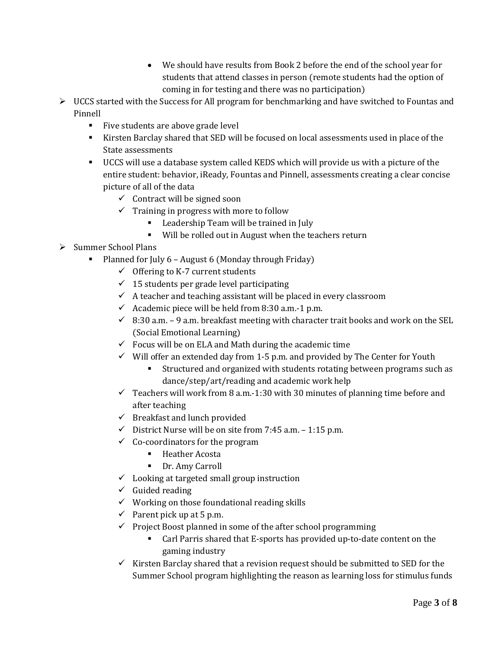- We should have results from Book 2 before the end of the school year for students that attend classes in person (remote students had the option of coming in for testing and there was no participation)
- $\triangleright$  UCCS started with the Success for All program for benchmarking and have switched to Fountas and Pinnell
	- Five students are above grade level
	- Kirsten Barclay shared that SED will be focused on local assessments used in place of the State assessments
	- UCCS will use a database system called KEDS which will provide us with a picture of the entire student: behavior, iReady, Fountas and Pinnell, assessments creating a clear concise picture of all of the data
		- $\checkmark$  Contract will be signed soon
		- $\checkmark$  Training in progress with more to follow
			- **EXECUTE:** Leadership Team will be trained in July
			- Will be rolled out in August when the teachers return
- $\triangleright$  Summer School Plans
	- Planned for July 6 August 6 (Monday through Friday)
		- $\checkmark$  Offering to K-7 current students
		- $\checkmark$  15 students per grade level participating
		- $\checkmark$  A teacher and teaching assistant will be placed in every classroom
		- $\checkmark$  Academic piece will be held from 8:30 a.m.-1 p.m.
		- $\checkmark$  8:30 a.m. 9 a.m. breakfast meeting with character trait books and work on the SEL (Social Emotional Learning)
		- $\checkmark$  Focus will be on ELA and Math during the academic time
		- $\checkmark$  Will offer an extended day from 1-5 p.m. and provided by The Center for Youth
			- Structured and organized with students rotating between programs such as dance/step/art/reading and academic work help
		- $\checkmark$  Teachers will work from 8 a.m.-1:30 with 30 minutes of planning time before and after teaching
		- $\checkmark$  Breakfast and lunch provided
		- $\checkmark$  District Nurse will be on site from 7:45 a.m. 1:15 p.m.
		- $\checkmark$  Co-coordinators for the program
			- **Heather Acosta**
			- **Dr. Amy Carroll**
		- $\checkmark$  Looking at targeted small group instruction
		- $\checkmark$  Guided reading
		- $\checkmark$  Working on those foundational reading skills
		- $\checkmark$  Parent pick up at 5 p.m.
		- $\checkmark$  Project Boost planned in some of the after school programming
			- Carl Parris shared that E-sports has provided up-to-date content on the gaming industry
		- $\checkmark$  Kirsten Barclay shared that a revision request should be submitted to SED for the Summer School program highlighting the reason as learning loss for stimulus funds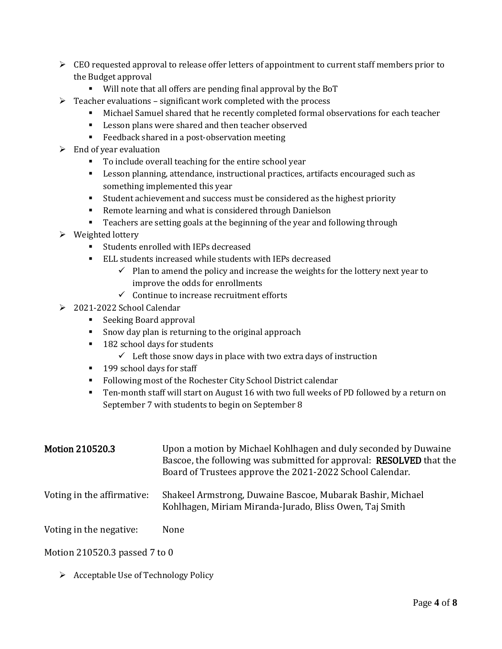- $\triangleright$  CEO requested approval to release offer letters of appointment to current staff members prior to the Budget approval
	- Will note that all offers are pending final approval by the BoT
- $\triangleright$  Teacher evaluations significant work completed with the process
	- Michael Samuel shared that he recently completed formal observations for each teacher
	- **EXECT** Lesson plans were shared and then teacher observed
	- **Feedback shared in a post-observation meeting**
- $\triangleright$  End of year evaluation
	- To include overall teaching for the entire school year
	- Lesson planning, attendance, instructional practices, artifacts encouraged such as something implemented this year
	- Student achievement and success must be considered as the highest priority
	- **Remote learning and what is considered through Danielson**
	- Teachers are setting goals at the beginning of the year and following through
- $\triangleright$  Weighted lottery
	- Students enrolled with IEPs decreased
	- ELL students increased while students with IEPs decreased
		- $\checkmark$  Plan to amend the policy and increase the weights for the lottery next year to improve the odds for enrollments
		- $\checkmark$  Continue to increase recruitment efforts
- 2021-2022 School Calendar
	- Seeking Board approval
	- **Show day plan is returning to the original approach**
	- 182 school days for students
		- $\checkmark$  Left those snow days in place with two extra days of instruction
	- <sup>199</sup> school days for staff
	- Following most of the Rochester City School District calendar
	- Ten-month staff will start on August 16 with two full weeks of PD followed by a return on September 7 with students to begin on September 8

| <b>Motion 210520.3</b>     | Upon a motion by Michael Kohlhagen and duly seconded by Duwaine<br>Bascoe, the following was submitted for approval: <b>RESOLVED</b> that the<br>Board of Trustees approve the 2021-2022 School Calendar. |
|----------------------------|-----------------------------------------------------------------------------------------------------------------------------------------------------------------------------------------------------------|
| Voting in the affirmative: | Shakeel Armstrong, Duwaine Bascoe, Mubarak Bashir, Michael<br>Kohlhagen, Miriam Miranda-Jurado, Bliss Owen, Taj Smith                                                                                     |
| Voting in the negative:    | None                                                                                                                                                                                                      |

#### Motion 210520.3 passed 7 to 0

 $\triangleright$  Acceptable Use of Technology Policy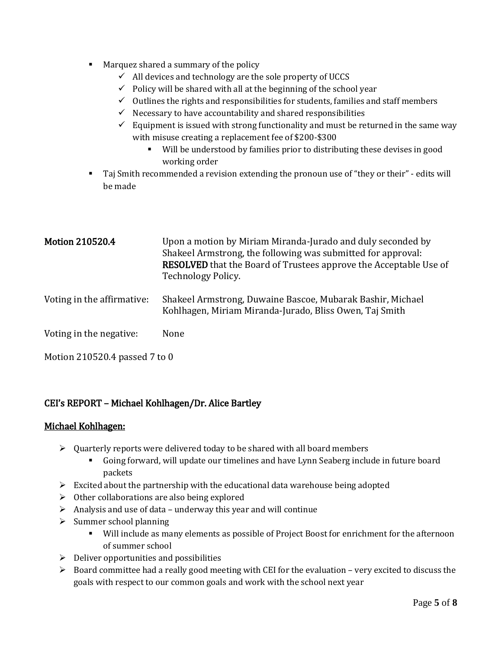- **Marquez shared a summary of the policy** 
	- $\checkmark$  All devices and technology are the sole property of UCCS
	- $\checkmark$  Policy will be shared with all at the beginning of the school year
	- $\checkmark$  Outlines the rights and responsibilities for students, families and staff members
	- $\checkmark$  Necessary to have accountability and shared responsibilities
	- $\checkmark$  Equipment is issued with strong functionality and must be returned in the same way with misuse creating a replacement fee of \$200-\$300
		- Will be understood by families prior to distributing these devises in good working order
- Taj Smith recommended a revision extending the pronoun use of "they or their" edits will be made

| <b>Motion 210520.4</b>     | Upon a motion by Miriam Miranda-Jurado and duly seconded by<br>Shakeel Armstrong, the following was submitted for approval:<br><b>RESOLVED</b> that the Board of Trustees approve the Acceptable Use of<br>Technology Policy. |
|----------------------------|-------------------------------------------------------------------------------------------------------------------------------------------------------------------------------------------------------------------------------|
| Voting in the affirmative: | Shakeel Armstrong, Duwaine Bascoe, Mubarak Bashir, Michael<br>Kohlhagen, Miriam Miranda-Jurado, Bliss Owen, Taj Smith                                                                                                         |
| Voting in the negative:    | None                                                                                                                                                                                                                          |

Motion 210520.4 passed 7 to 0

## CEI's REPORT – Michael Kohlhagen/Dr. Alice Bartley

#### Michael Kohlhagen:

- $\triangleright$  Quarterly reports were delivered today to be shared with all board members
	- Going forward, will update our timelines and have Lynn Seaberg include in future board packets
- $\triangleright$  Excited about the partnership with the educational data warehouse being adopted
- $\triangleright$  Other collaborations are also being explored
- $\triangleright$  Analysis and use of data underway this year and will continue
- $\triangleright$  Summer school planning
	- Will include as many elements as possible of Project Boost for enrichment for the afternoon of summer school
- $\triangleright$  Deliver opportunities and possibilities
- Board committee had a really good meeting with CEI for the evaluation very excited to discuss the goals with respect to our common goals and work with the school next year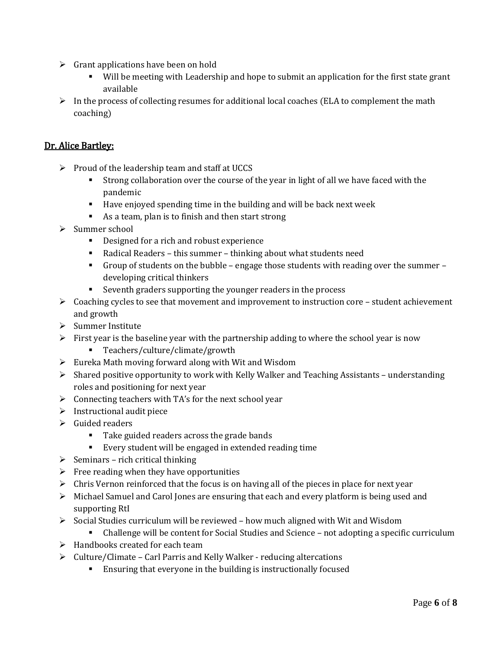- $\triangleright$  Grant applications have been on hold
	- Will be meeting with Leadership and hope to submit an application for the first state grant available
- $\triangleright$  In the process of collecting resumes for additional local coaches (ELA to complement the math coaching)

## Dr. Alice Bartley:

- $\triangleright$  Proud of the leadership team and staff at UCCS
	- Strong collaboration over the course of the year in light of all we have faced with the pandemic
	- Have enjoyed spending time in the building and will be back next week
	- As a team, plan is to finish and then start strong
- $\triangleright$  Summer school
	- Designed for a rich and robust experience
	- Radical Readers this summer thinking about what students need
	- Group of students on the bubble engage those students with reading over the summer developing critical thinkers
	- Seventh graders supporting the younger readers in the process
- $\triangleright$  Coaching cycles to see that movement and improvement to instruction core student achievement and growth
- $\triangleright$  Summer Institute
- $\triangleright$  First year is the baseline year with the partnership adding to where the school year is now
	- Teachers/culture/climate/growth
- $\triangleright$  Eureka Math moving forward along with Wit and Wisdom
- $\triangleright$  Shared positive opportunity to work with Kelly Walker and Teaching Assistants understanding roles and positioning for next year
- $\triangleright$  Connecting teachers with TA's for the next school year
- $\triangleright$  Instructional audit piece
- $\triangleright$  Guided readers
	- Take guided readers across the grade bands
	- Every student will be engaged in extended reading time
- $\triangleright$  Seminars rich critical thinking
- $\triangleright$  Free reading when they have opportunities
- $\triangleright$  Chris Vernon reinforced that the focus is on having all of the pieces in place for next year
- Michael Samuel and Carol Jones are ensuring that each and every platform is being used and supporting RtI
- $\triangleright$  Social Studies curriculum will be reviewed how much aligned with Wit and Wisdom
	- Challenge will be content for Social Studies and Science not adopting a specific curriculum
- $\blacktriangleright$  Handbooks created for each team
- $\triangleright$  Culture/Climate Carl Parris and Kelly Walker reducing altercations
	- Ensuring that everyone in the building is instructionally focused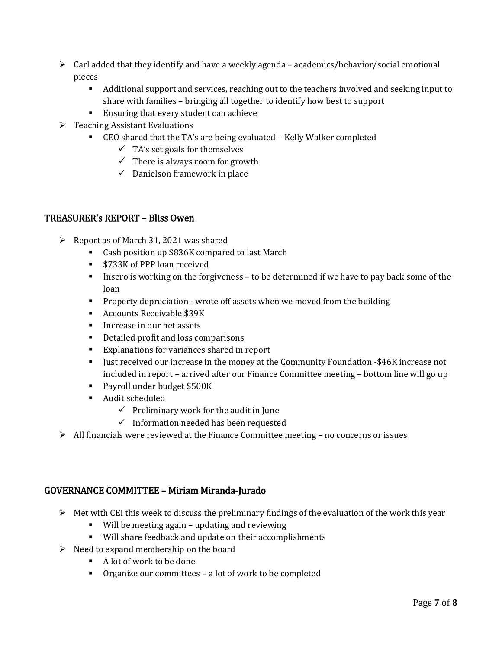- $\triangleright$  Carl added that they identify and have a weekly agenda academics/behavior/social emotional pieces
	- Additional support and services, reaching out to the teachers involved and seeking input to share with families – bringing all together to identify how best to support
	- **Ensuring that every student can achieve**
- $\triangleright$  Teaching Assistant Evaluations
	- CEO shared that the TA's are being evaluated Kelly Walker completed
		- $\checkmark$  TA's set goals for themselves
		- $\checkmark$  There is always room for growth
		- $\checkmark$  Danielson framework in place

#### TREASURER's REPORT – Bliss Owen

- $\triangleright$  Report as of March 31, 2021 was shared
	- Cash position up \$836K compared to last March
	- **5733K of PPP loan received**
	- Insero is working on the forgiveness to be determined if we have to pay back some of the loan
	- **Property depreciation wrote off assets when we moved from the building**
	- Accounts Receivable \$39K
	- Increase in our net assets
	- Detailed profit and loss comparisons
	- Explanations for variances shared in report
	- **I** Just received our increase in the money at the Community Foundation -\$46K increase not included in report – arrived after our Finance Committee meeting – bottom line will go up
	- Payroll under budget \$500K
	- Audit scheduled
		- $\checkmark$  Preliminary work for the audit in June
		- $\checkmark$  Information needed has been requested
- $\triangleright$  All financials were reviewed at the Finance Committee meeting no concerns or issues

#### GOVERNANCE COMMITTEE – Miriam Miranda-Jurado

- $\triangleright$  Met with CEI this week to discuss the preliminary findings of the evaluation of the work this year
	- Will be meeting again updating and reviewing
	- Will share feedback and update on their accomplishments
- $\triangleright$  Need to expand membership on the board
	- A lot of work to be done
	- Organize our committees a lot of work to be completed